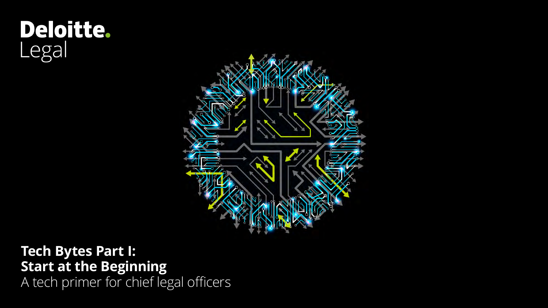# Deloitte.<br>Legal



**Tech Bytes Part I: Start at the Beginning** A tech primer for chief legal officers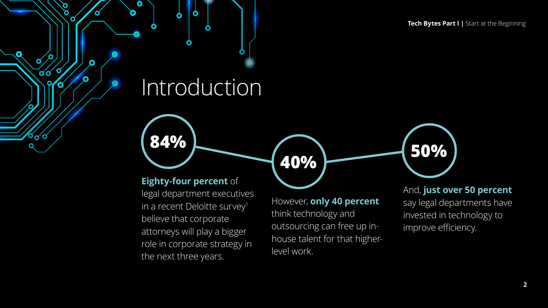## Introduction

Ó

σ

Ο

σ

σσ

 $\sim$ 

σ

#### **Eighty-four percent** of

legal department executives in a recent Deloitte survey<sup>1</sup> believe that corporate attorneys will play a bigger role in corporate strategy in the next three years.

However, **only 40 percent** think technology and outsourcing can free up inhouse talent for that higherlevel work.

**40% 50% 84%**

And, **just over 50 percent** say legal departments have invested in technology to improve efficiency.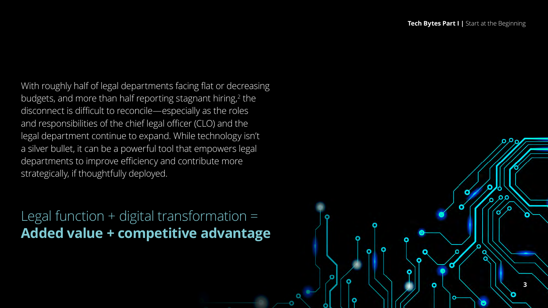**3**

With roughly half of legal departments facing flat or decreasing budgets, and more than half reporting stagnant hiring, 2 the disconnect is difficult to reconcile—especially as the roles and responsibilities of the chief legal officer (CLO) and the legal department continue to expand. While technology isn't a silver bullet, it can be a powerful tool that empowers legal departments to improve efficiency and contribute more strategically, if thoughtfully deployed.

Legal function + digital transformation = **Added value + competitive advantage**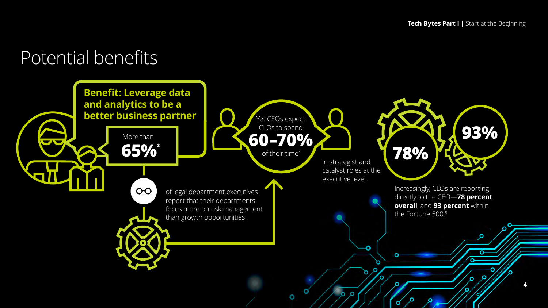## Introductory message Potential benefits

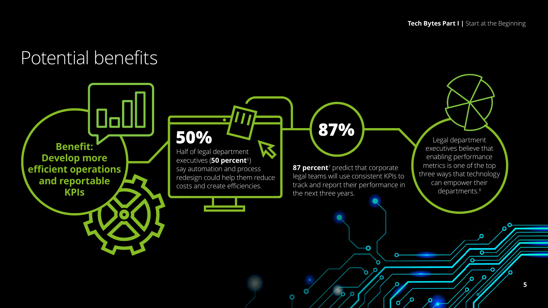## Introductory message Potential benefits

**Benefit: Develop more efficient operations and reportable KPIs**

Half of legal department **50%**

executives (**50 percent**<sup>6</sup>) say automation and process redesign could help them reduce costs and create efficiencies.

**87 percent**<sup>7</sup> predict that corporate legal teams will use consistent KPIs to track and report their performance in the next three years.

Ω

Ő

о

٥

**87%**

Legal department executives believe that enabling performance metrics is one of the top three ways that technology can empower their departments.<sup>8</sup>

**5**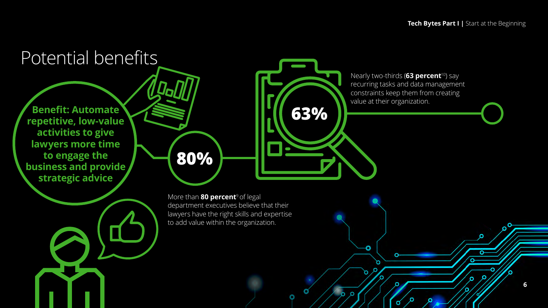٥

O

Ő

**6**

#### Introductory message **80%** More than **80 percent**9 of legal Nearly two-thirds (**63 percent**<sup>10</sup>) say recurring tasks and data management constraints keep them from creating value at their organization. **repetitive, low-value Benefit: Automate 63% activities to give lawyers more time to engage the business and provide strategic advice** Potential benefits

department executives believe that their lawyers have the right skills and expertise to add value within the organization.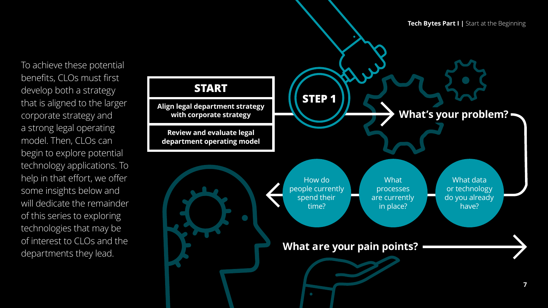To achieve these potential benefits, CLOs must first develop both a strategy that is aligned to the larger corporate strategy and a strong legal operating model. Then, CLOs can begin to explore potential technology applications. To help in that effort, we offer some insights below and will dedicate the remainder of this series to exploring technologies that may be of interest to CLOs and the departments they lead.

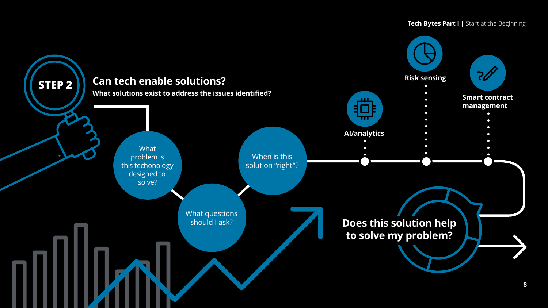#### **Tech Bytes Part I | Start at the Beginning**

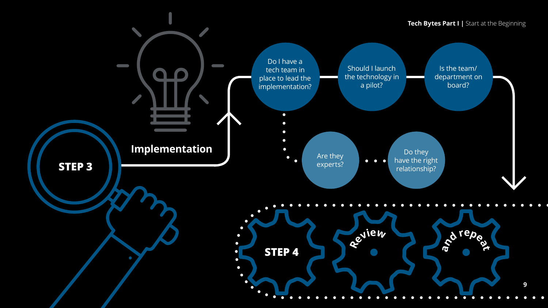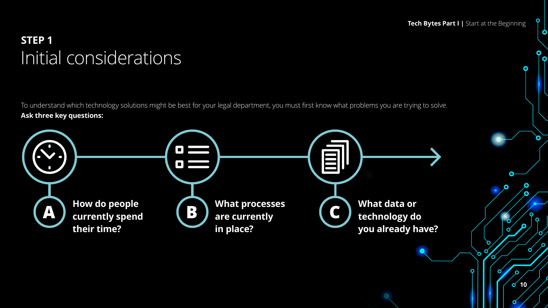$\sigma$ <sup>10</sup>

O

σ

 $\bullet$ 

 $\bullet$ 

#### **INTEP 1 STEP 1** Initial considerations

To understand which technology solutions might be best for your legal department, you must first know what problems you are trying to solve. **Ask three key questions:**

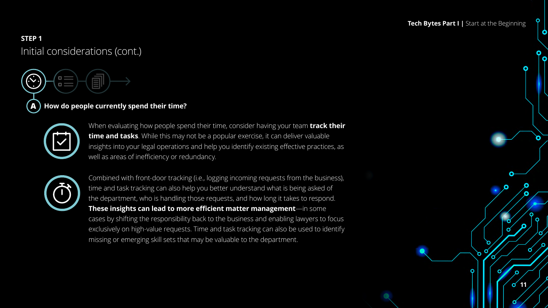**11**

 $\sigma$ 

U

#### **STEP 1**<br>Initial considerations (cont ) **STEP 1** Initial considerations (cont.)

**A How do people currently spend their time?**



E E

When evaluating how people spend their time, consider having your team **track their time and tasks**. While this may not be a popular exercise, it can deliver valuable insights into your legal operations and help you identify existing effective practices, as well as areas of inefficiency or redundancy.



Combined with front-door tracking (i.e., logging incoming requests from the business), time and task tracking can also help you better understand what is being asked of the department, who is handling those requests, and how long it takes to respond. **These insights can lead to more efficient matter management**—in some cases by shifting the responsibility back to the business and enabling lawyers to focus exclusively on high-value requests. Time and task tracking can also be used to identify missing or emerging skill sets that may be valuable to the department.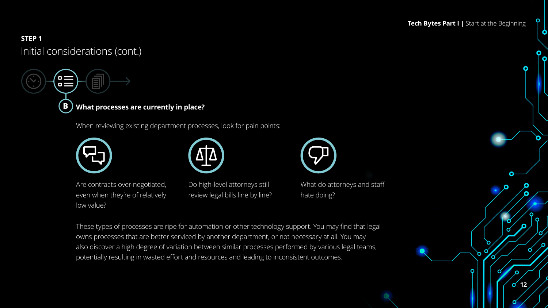#### **Tech Bytes Part I |** Start at the Beginning

 $\bullet$ 

#### **STEP 1**<br>Initial considerations (cont ) **STEP 1** Initial considerations (cont.)

 $\blacksquare$ 

**What processes are currently in place? B**

When reviewing existing department processes, look for pain points:





Are contracts over-negotiated, even when they're of relatively low value?

Do high-level attorneys still review legal bills line by line?

What do attorneys and staff hate doing?

These types of processes are ripe for automation or other technology support. You may find that legal owns processes that are better serviced by another department, or not necessary at all. You may also discover a high degree of variation between similar processes performed by various legal teams, potentially resulting in wasted effort and resources and leading to inconsistent outcomes.

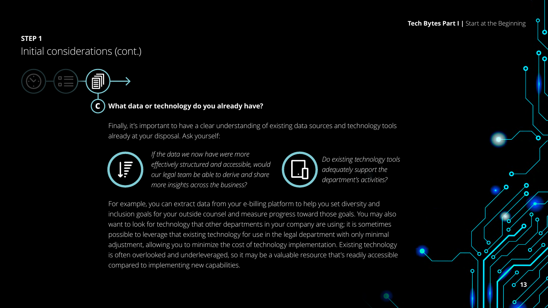#### **Tech Bytes Part I |** Start at the Beginning

**13**

 $\sigma$ 

σ

 $\bullet$ 

#### **STEP 1**<br>Initial considerations (cont ) **STEP 1** Initial considerations (cont.)

EI

**C What data or technology do you already have?**

Finally, it's important to have a clear understanding of existing data sources and technology tools already at your disposal. Ask yourself:



*If the data we now have were more effectively structured and accessible, would our legal team be able to derive and share more insights across the business?*



*Do existing technology tools adequately support the department's activities?*

For example, you can extract data from your e-billing platform to help you set diversity and inclusion goals for your outside counsel and measure progress toward those goals. You may also want to look for technology that other departments in your company are using; it is sometimes possible to leverage that existing technology for use in the legal department with only minimal adjustment, allowing you to minimize the cost of technology implementation. Existing technology is often overlooked and underleveraged, so it may be a valuable resource that's readily accessible compared to implementing new capabilities.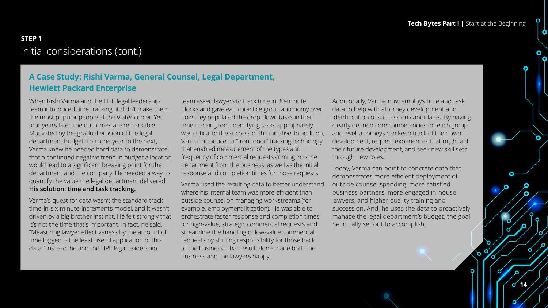#### **A Case Study: Rishi Varma, General Counsel, Legal Department, Hewlett Packard Enterprise**

When Rishi Varma and the HPE legal leadership team introduced time tracking, it didn't make them the most popular people at the water cooler. Yet four years later, the outcomes are remarkable. Motivated by the gradual erosion of the legal department budget from one year to the next, Varma knew he needed hard data to demonstrate that a continued negative trend in budget allocation would lead to a significant breaking point for the department and the company. He needed a way to quantify the value the legal department delivered. **His solution: time and task tracking.** 

Varma's quest for data wasn't the standard tracktime-in-six-minute-increments model, and it wasn't driven by a big brother instinct. He felt strongly that it's not the time that's important. In fact, he said, "Measuring lawyer effectiveness by the amount of time logged is the least useful application of this data." Instead, he and the HPE legal leadership

team asked lawyers to track time in 30-minute blocks and gave each practice group autonomy over how they populated the drop-down tasks in their time-tracking tool. Identifying tasks appropriately was critical to the success of the initiative. In addition, Varma introduced a "front-door" tracking technology that enabled measurement of the types and frequency of commercial requests coming into the department from the business, as well as the initial response and completion times for those requests.

Varma used the resulting data to better understand where his internal team was more efficient than outside counsel on managing workstreams (for example, employment litigation). He was able to orchestrate faster response and completion times for high-value, strategic commercial requests and streamline the handling of low-value commercial requests by shifting responsibility for those back to the business. That result alone made both the business and the lawyers happy.

Additionally, Varma now employs time and task data to help with attorney development and identification of succession candidates. By having clearly defined core competencies for each group and level, attorneys can keep track of their own development, request experiences that might aid their future development, and seek new skill sets through new roles.

Today, Varma can point to concrete data that demonstrates more efficient deployment of outside counsel spending, more satisfied business partners, more engaged in-house lawyers, and higher quality training and succession. And, he uses the data to proactively manage the legal department's budget, the goal he initially set out to accomplish.

> **14** σ

Q

Ò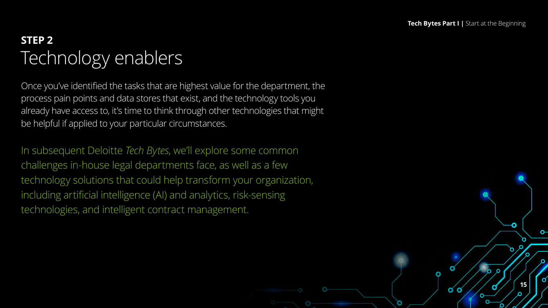$\alpha$  o

**15**

ິ

n

#### STEP 2<br>———————————————————— **STEP 2** Technology enablers

Once you've identified the tasks that are highest value for the department, the process pain points and data stores that exist, and the technology tools you already have access to, it's time to think through other technologies that might be helpful if applied to your particular circumstances.

In subsequent Deloitte *Tech Bytes*, we'll explore some common challenges in-house legal departments face, as well as a few technology solutions that could help transform your organization, including artificial intelligence (AI) and analytics, risk-sensing technologies, and intelligent contract management.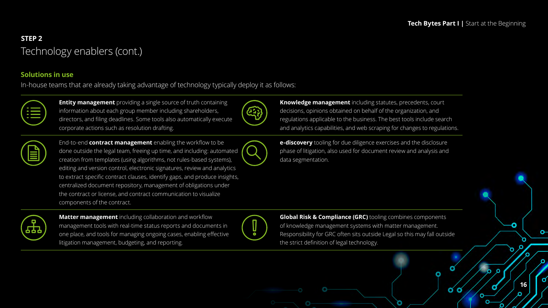σσ

**16**

ິ

#### STEP 2<br>Tachnology anablars (cont ) **STEP 2** Technology enablers (cont.)

#### **Solutions in use**

In-house teams that are already taking advantage of technology typically deploy it as follows:



**Entity management** providing a single source of truth containing information about each group member including shareholders, directors, and filing deadlines. Some tools also automatically execute corporate actions such as resolution drafting.





End-to-end **contract management** enabling the workflow to be done outside the legal team, freeing up time, and including: automated creation from templates (using algorithms, not rules-based systems), editing and version control, electronic signatures, review and analytics to extract specific contract clauses, identify gaps, and produce insights, centralized document repository, management of obligations under the contract or license, and contract communication to visualize components of the contract.

**Knowledge management** including statutes, precedents, court decisions, opinions obtained on behalf of the organization, and regulations applicable to the business. The best tools include search and analytics capabilities, and web scraping for changes to regulations.

**e-discovery** tooling for due diligence exercises and the disclosure phase of litigation, also used for document review and analysis and data segmentation.



**Matter management** including collaboration and workflow management tools with real-time status reports and documents in one place, and tools for managing ongoing cases, enabling effective litigation management, budgeting, and reporting.



**Global Risk & Compliance (GRC)** tooling combines components of knowledge management systems with matter management. Responsibility for GRC often sits outside Legal so this may fall outside the strict definition of legal technology.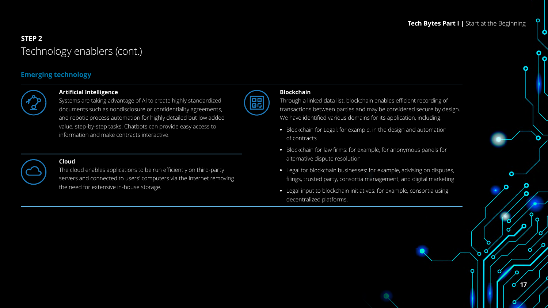$\bullet$ 

**17**

 $\sigma$ 

O

σ

#### STEP 2<br>Tachnology anablars (cont ) **STEP 2** Technology enablers (cont.)

#### **Emerging technology**



#### **Artificial Intelligence**

Systems are taking advantage of Al to create highly standardized documents such as nondisclosure or confidentiality agreements, and robotic process automation for highly detailed but low added value, step-by-step tasks. Chatbots can provide easy access to information and make contracts interactive.

#### **Cloud**

The cloud enables applications to be run efficiently on third-party servers and connected to users' computers via the Internet removing the need for extensive in-house storage.



0 G

Through a linked data list, blockchain enables efficient recording of transactions between parties and may be considered secure by design. We have identified various domains for its application, including:

- **•** Blockchain for Legal: for example, in the design and automation of contracts
- **•** Blockchain for law firms: for example, for anonymous panels for alternative dispute resolution
- **•** Legal for blockchain businesses: for example, advising on disputes, filings, trusted party, consortia management, and digital marketing
- **•** Legal input to blockchain initiatives: for example, consortia using decentralized platforms.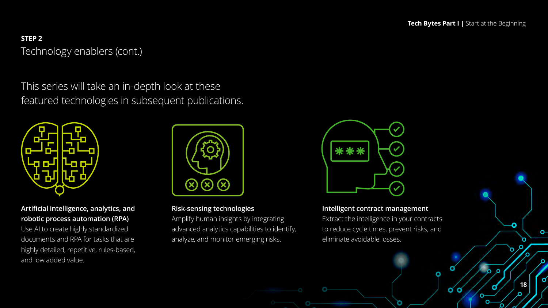$\sigma$   $\sigma$ 

**18**

o-

Ω

#### STEP 2<br>Tachnology anablars (cont ) **STEP 2** Technology enablers (cont.)

This series will take an in-depth look at these featured technologies in subsequent publications.



#### **Artificial intelligence, analytics, and robotic process automation (RPA)**

Use AI to create highly standardized documents and RPA for tasks that are highly detailed, repetitive, rules-based, and low added value.



#### **Risk-sensing technologies**

Amplify human insights by integrating advanced analytics capabilities to identify, analyze, and monitor emerging risks.



#### **Intelligent contract management**

Extract the intelligence in your contracts to reduce cycle times, prevent risks, and eliminate avoidable losses.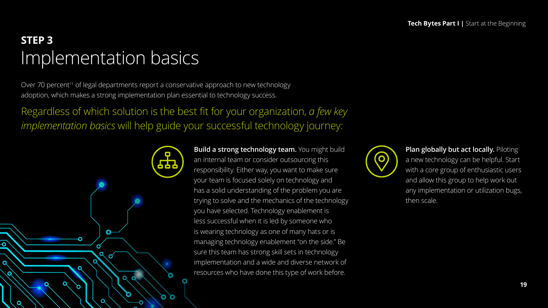## **STEP 3** Implementation basics

Ó

Over 70 percent<sup>11</sup> of legal departments report a conservative approach to new technology adoption, which makes a strong implementation plan essential to technology success.

০ ০

Regardless of which solution is the best fit for your organization, *a few key implementation basics* will help guide your successful technology journey:

> **Build a strong technology team.** You might build an internal team or consider outsourcing this responsibility. Either way, you want to make sure your team is focused solely on technology and has a solid understanding of the problem you are trying to solve and the mechanics of the technology you have selected. Technology enablement is less successful when it is led by someone who is wearing technology as one of many hats or is managing technology enablement "on the side." Be sure this team has strong skill sets in technology implementation and a wide and diverse network of resources who have done this type of work before.



**Plan globally but act locally.** Piloting a new technology can be helpful. Start with a core group of enthusiastic users and allow this group to help work out any implementation or utilization bugs, then scale.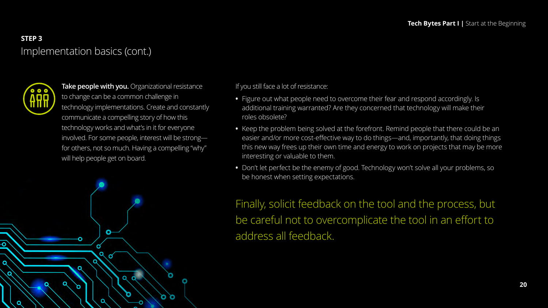#### **STEP 3** Implementation basics (cont.)



-0

٥

**Take people with you.** Organizational resistance to change can be a common challenge in technology implementations. Create and constantly communicate a compelling story of how this technology works and what's in it for everyone involved. For some people, interest will be strong for others, not so much. Having a compelling "why" will help people get on board.

> O. O



- **•** Figure out what people need to overcome their fear and respond accordingly. Is additional training warranted? Are they concerned that technology will make their roles obsolete?
- **•** Keep the problem being solved at the forefront. Remind people that there could be an easier and/or more cost-effective way to do things—and, importantly, that doing things this new way frees up their own time and energy to work on projects that may be more interesting or valuable to them.
- **•** Don't let perfect be the enemy of good. Technology won't solve all your problems, so be honest when setting expectations.

Finally, solicit feedback on the tool and the process, but be careful not to overcomplicate the tool in an effort to address all feedback.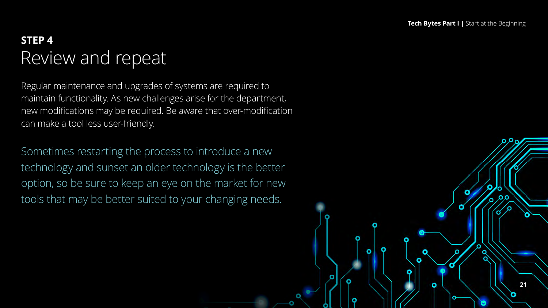**21**

#### **INTEP 4 STEP 4** Review and repeat

Regular maintenance and upgrades of systems are required to maintain functionality. As new challenges arise for the department, new modifications may be required. Be aware that over-modification can make a tool less user-friendly.

Sometimes restarting the process to introduce a new technology and sunset an older technology is the better option, so be sure to keep an eye on the market for new tools that may be better suited to your changing needs.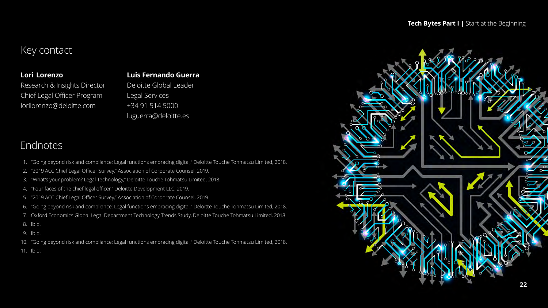#### **Tech Bytes Part I |** Start at the Beginning

#### Key contact

#### **Lori  Lorenzo**

Research & Insights Director Chief Legal Officer Program lorilorenzo@deloitte.com

#### **Luis Fernando Guerra**

Deloitte Global Leader Legal Services +34 91 514 5000 luguerra@deloitte.es

#### Endnotes

- 1. "Going beyond risk and compliance: Legal functions embracing digital," Deloitte Touche Tohmatsu Limited, 2018.
- 2. "2019 ACC Chief Legal Officer Survey," Association of Corporate Counsel, 2019.
- 3. "What's your problem? Legal Technology," Deloitte Touche Tohmatsu Limited, 2018.
- 4. "Four faces of the chief legal officer," Deloitte Development LLC, 2019.
- 5. "2019 ACC Chief Legal Officer Survey," Association of Corporate Counsel, 2019.
- 6. "Going beyond risk and compliance: Legal functions embracing digital," Deloitte Touche Tohmatsu Limited, 2018.
- 7. Oxford Economics Global Legal Department Technology Trends Study, Deloitte Touche Tohmatsu Limited, 2018.
- 8. Ibid.
- 9. Ibid.
- 10. "Going beyond risk and compliance: Legal functions embracing digital," Deloitte Touche Tohmatsu Limited, 2018.
- 11. Ibid.